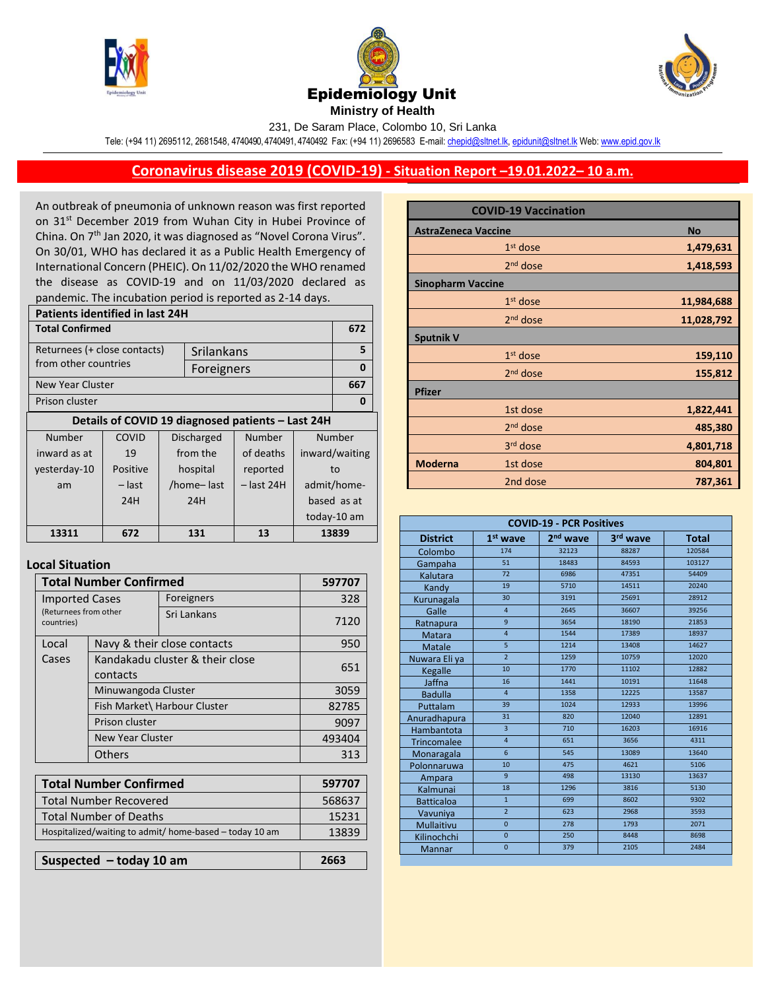





231, De Saram Place, Colombo 10, Sri Lanka

Tele: (+94 11) 2695112, 2681548, 4740490, 4740491, 4740492 Fax: (+94 11) 2696583 E-mail[: chepid@sltnet.lk,](mailto:chepi@sltnet.lk) [epidunit@sltnet.lk](mailto:epidunit@sltnet.lk) Web[: www.epid.gov.lk](http://www.epid.gov.lk/)

## **Coronavirus disease 2019 (COVID-19) - Situation Report –19.01.2022– 10 a.m.**

An outbreak of pneumonia of unknown reason was first reported on 31<sup>st</sup> December 2019 from Wuhan City in Hubei Province of China. On 7<sup>th</sup> Jan 2020, it was diagnosed as "Novel Corona Virus". On 30/01, WHO has declared it as a Public Health Emergency of International Concern (PHEIC). On 11/02/2020 the WHO renamed the disease as COVID-19 and on 11/03/2020 declared as pandemic. The incubation period is reported as 2-14 days.

| <b>Patients identified in last 24H</b> |                                                   |                   |            |              |                |             |
|----------------------------------------|---------------------------------------------------|-------------------|------------|--------------|----------------|-------------|
| <b>Total Confirmed</b>                 |                                                   |                   |            |              | 672            |             |
| Returnees (+ close contacts)           |                                                   |                   | Srilankans |              |                | 5           |
| from other countries                   |                                                   |                   | Foreigners |              |                | $\bf{0}$    |
| New Year Cluster                       |                                                   |                   |            |              |                | 667         |
| Prison cluster                         |                                                   |                   |            | 0            |                |             |
|                                        | Details of COVID 19 diagnosed patients - Last 24H |                   |            |              |                |             |
| Number                                 | COVID                                             | <b>Discharged</b> |            | Number       | Number         |             |
| inward as at                           | 19                                                | from the          |            | of deaths    | inward/waiting |             |
| yesterday-10                           | Positive                                          |                   | hospital   | reported     | to             |             |
| am                                     | – last                                            | /home-last        |            | $-$ last 24H | admit/home-    |             |
|                                        | 24H                                               | 24H               |            |              | based as at    |             |
|                                        |                                                   |                   |            |              |                | today-10 am |
| 13311                                  | 672                                               | 131               |            | 13           | 13839          |             |

## **Local Situation**

| <b>Total Number Confirmed</b>                           |                                             |             | 597707 |
|---------------------------------------------------------|---------------------------------------------|-------------|--------|
| <b>Imported Cases</b>                                   |                                             | Foreigners  | 328    |
| (Returnees from other<br>countries)                     |                                             | Sri Lankans | 7120   |
| Local                                                   | Navy & their close contacts                 | 950         |        |
| Cases                                                   | Kandakadu cluster & their close<br>contacts | 651         |        |
|                                                         | Minuwangoda Cluster                         |             | 3059   |
|                                                         | Fish Market\ Harbour Cluster                |             | 82785  |
|                                                         | Prison cluster                              |             | 9097   |
|                                                         | <b>New Year Cluster</b>                     |             | 493404 |
|                                                         | Others                                      |             | 313    |
|                                                         |                                             |             |        |
| <b>Total Number Confirmed</b>                           |                                             |             | 597707 |
| <b>Total Number Recovered</b>                           |                                             |             | 568637 |
| <b>Total Number of Deaths</b>                           |                                             |             | 15231  |
| Hospitalized/waiting to admit/ home-based - today 10 am |                                             |             | 13839  |

**Suspected – today 10 am 2663**

| <b>COVID-19 Vaccination</b> |                      |            |  |  |
|-----------------------------|----------------------|------------|--|--|
| <b>AstraZeneca Vaccine</b>  |                      | <b>No</b>  |  |  |
|                             | $1st$ dose           | 1,479,631  |  |  |
|                             | 2 <sup>nd</sup> dose | 1,418,593  |  |  |
| <b>Sinopharm Vaccine</b>    |                      |            |  |  |
|                             | $1st$ dose           | 11,984,688 |  |  |
|                             | 2 <sup>nd</sup> dose | 11,028,792 |  |  |
| <b>Sputnik V</b>            |                      |            |  |  |
|                             | $1st$ dose           | 159,110    |  |  |
|                             | 2 <sup>nd</sup> dose | 155,812    |  |  |
| <b>Pfizer</b>               |                      |            |  |  |
|                             | 1st dose             | 1,822,441  |  |  |
|                             | 2 <sup>nd</sup> dose | 485,380    |  |  |
|                             | 3 <sup>rd</sup> dose | 4,801,718  |  |  |
| <b>Moderna</b>              | 1st dose             | 804,801    |  |  |
|                             | 2nd dose             | 787,361    |  |  |

| <b>COVID-19 - PCR Positives</b> |                         |                      |          |              |
|---------------------------------|-------------------------|----------------------|----------|--------------|
| <b>District</b>                 | $1st$ wave              | 2 <sup>nd</sup> wave | 3rd wave | <b>Total</b> |
| Colombo                         | 174                     | 32123                | 88287    | 120584       |
| Gampaha                         | $\overline{51}$         | 18483                | 84593    | 103127       |
| Kalutara                        | 72                      | 6986                 | 47351    | 54409        |
| Kandy                           | 19                      | 5710                 | 14511    | 20240        |
| Kurunagala                      | 30                      | 3191                 | 25691    | 28912        |
| Galle                           | $\overline{4}$          | 2645                 | 36607    | 39256        |
| Ratnapura                       | 9                       | 3654                 | 18190    | 21853        |
| <b>Matara</b>                   | $\overline{4}$          | 1544                 | 17389    | 18937        |
| <b>Matale</b>                   | 5                       | 1214                 | 13408    | 14627        |
| Nuwara Eliya                    | $\overline{2}$          | 1259                 | 10759    | 12020        |
| Kegalle                         | 10                      | 1770                 | 11102    | 12882        |
| Jaffna                          | 16                      | 1441                 | 10191    | 11648        |
| <b>Badulla</b>                  | $\overline{4}$          | 1358                 | 12225    | 13587        |
| Puttalam                        | 39                      | 1024                 | 12933    | 13996        |
| Anuradhapura                    | 31                      | 820                  | 12040    | 12891        |
| Hambantota                      | $\overline{\mathbf{3}}$ | 710                  | 16203    | 16916        |
| Trincomalee                     | $\overline{4}$          | 651                  | 3656     | 4311         |
| Monaragala                      | 6                       | 545                  | 13089    | 13640        |
| Polonnaruwa                     | 10                      | 475                  | 4621     | 5106         |
| Ampara                          | $\mathbf{q}$            | 498                  | 13130    | 13637        |
| Kalmunai                        | 18                      | 1296                 | 3816     | 5130         |
| <b>Batticaloa</b>               | $\overline{1}$          | 699                  | 8602     | 9302         |
| Vavuniya                        | $\overline{2}$          | 623                  | 2968     | 3593         |
| Mullaitivu                      | $\overline{0}$          | 278                  | 1793     | 2071         |
| Kilinochchi                     | $\mathbf 0$             | 250                  | 8448     | 8698         |
| Mannar                          | $\overline{0}$          | 379                  | 2105     | 2484         |